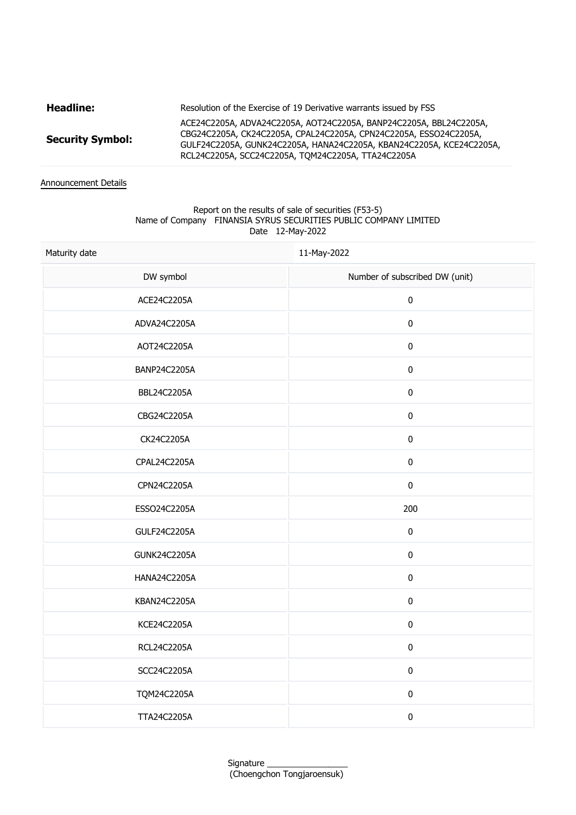| <b>Headline:</b>        | Resolution of the Exercise of 19 Derivative warrants issued by FSS                                                                                                                                                                                                    |  |
|-------------------------|-----------------------------------------------------------------------------------------------------------------------------------------------------------------------------------------------------------------------------------------------------------------------|--|
| <b>Security Symbol:</b> | ACE24C2205A, ADVA24C2205A, AOT24C2205A, BANP24C2205A, BBL24C2205A,<br>CBG24C2205A, CK24C2205A, CPAL24C2205A, CPN24C2205A, ESSO24C2205A,<br>GULF24C2205A, GUNK24C2205A, HANA24C2205A, KBAN24C2205A, KCE24C2205A,<br>RCL24C2205A, SCC24C2205A, TOM24C2205A, TTA24C2205A |  |

## Announcement Details

## Report on the results of sale of securities (F53-5) Name of Company FINANSIA SYRUS SECURITIES PUBLIC COMPANY LIMITED Date 12-May-2022

| Maturity date       | 11-May-2022                    |
|---------------------|--------------------------------|
| DW symbol           | Number of subscribed DW (unit) |
| ACE24C2205A         | $\pmb{0}$                      |
| ADVA24C2205A        | $\pmb{0}$                      |
| AOT24C2205A         | $\pmb{0}$                      |
| BANP24C2205A        | $\pmb{0}$                      |
| BBL24C2205A         | $\pmb{0}$                      |
| CBG24C2205A         | $\pmb{0}$                      |
| CK24C2205A          | $\pmb{0}$                      |
| CPAL24C2205A        | $\pmb{0}$                      |
| CPN24C2205A         | $\pmb{0}$                      |
| ESSO24C2205A        | 200                            |
| <b>GULF24C2205A</b> | $\pmb{0}$                      |
| <b>GUNK24C2205A</b> | $\pmb{0}$                      |
| HANA24C2205A        | $\pmb{0}$                      |
| KBAN24C2205A        | $\pmb{0}$                      |
| KCE24C2205A         | $\pmb{0}$                      |
| RCL24C2205A         | $\pmb{0}$                      |
| SCC24C2205A         | $\pmb{0}$                      |
| TQM24C2205A         | $\pmb{0}$                      |
| TTA24C2205A         | $\pmb{0}$                      |